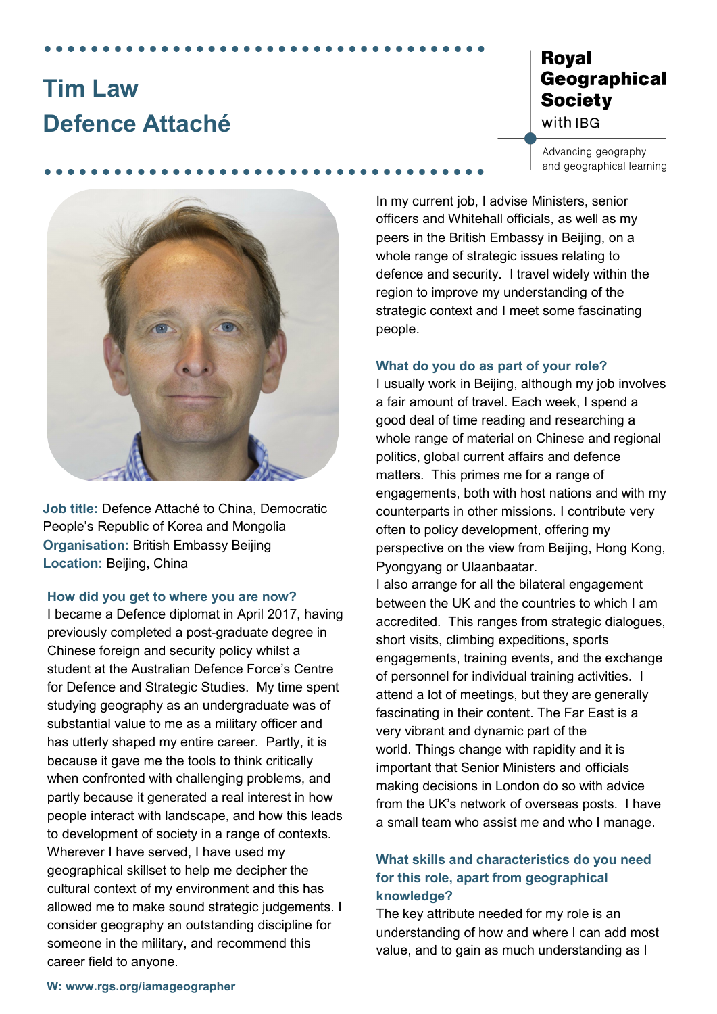# **Tim Law Defence Attaché**

## **Royal** Geographical **Society** with IBG

Advancing geography and geographical learning



**Job title:** Defence Attaché to China, Democratic People's Republic of Korea and Mongolia **Organisation:** British Embassy Beijing **Location:** Beijing, China

#### **How did you get to where you are now?**

I became a Defence diplomat in April 2017, having previously completed a post-graduate degree in Chinese foreign and security policy whilst a student at the Australian Defence Force's Centre for Defence and Strategic Studies. My time spent studying geography as an undergraduate was of substantial value to me as a military officer and has utterly shaped my entire career. Partly, it is because it gave me the tools to think critically when confronted with challenging problems, and partly because it generated a real interest in how people interact with landscape, and how this leads to development of society in a range of contexts. Wherever I have served, I have used my geographical skillset to help me decipher the cultural context of my environment and this has allowed me to make sound strategic judgements. I consider geography an outstanding discipline for someone in the military, and recommend this career field to anyone.

In my current job, I advise Ministers, senior officers and Whitehall officials, as well as my peers in the British Embassy in Beijing, on a whole range of strategic issues relating to defence and security. I travel widely within the region to improve my understanding of the strategic context and I meet some fascinating people.

#### **What do you do as part of your role?**

I usually work in Beijing, although my job involves a fair amount of travel. Each week, I spend a good deal of time reading and researching a whole range of material on Chinese and regional politics, global current affairs and defence matters. This primes me for a range of engagements, both with host nations and with my counterparts in other missions. I contribute very often to policy development, offering my perspective on the view from Beijing, Hong Kong, Pyongyang or Ulaanbaatar.

I also arrange for all the bilateral engagement between the UK and the countries to which I am accredited. This ranges from strategic dialogues, short visits, climbing expeditions, sports engagements, training events, and the exchange of personnel for individual training activities. I attend a lot of meetings, but they are generally fascinating in their content. The Far East is a very vibrant and dynamic part of the world. Things change with rapidity and it is important that Senior Ministers and officials making decisions in London do so with advice from the UK's network of overseas posts. I have a small team who assist me and who I manage.

## **What skills and characteristics do you need for this role, apart from geographical knowledge?**

The key attribute needed for my role is an understanding of how and where I can add most value, and to gain as much understanding as I